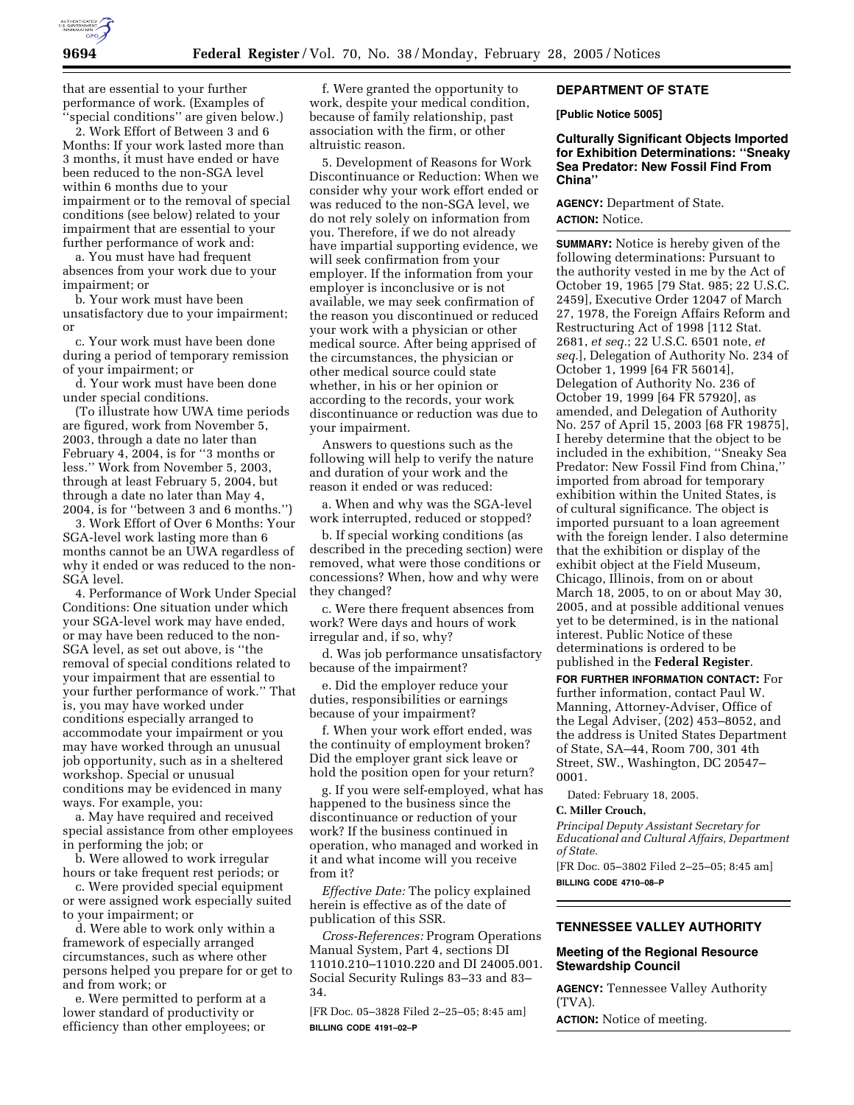

that are essential to your further performance of work. (Examples of 'special conditions'' are given below.)

2. Work Effort of Between 3 and 6 Months: If your work lasted more than 3 months, it must have ended or have been reduced to the non-SGA level within 6 months due to your impairment or to the removal of special conditions (see below) related to your impairment that are essential to your further performance of work and:

a. You must have had frequent absences from your work due to your impairment; or

b. Your work must have been unsatisfactory due to your impairment; or

c. Your work must have been done during a period of temporary remission of your impairment; or

d. Your work must have been done under special conditions.

(To illustrate how UWA time periods are figured, work from November 5, 2003, through a date no later than February 4, 2004, is for ''3 months or less.'' Work from November 5, 2003, through at least February 5, 2004, but through a date no later than May 4, 2004, is for ''between 3 and 6 months.'')

3. Work Effort of Over 6 Months: Your SGA-level work lasting more than 6 months cannot be an UWA regardless of why it ended or was reduced to the non-SGA level.

4. Performance of Work Under Special Conditions: One situation under which your SGA-level work may have ended, or may have been reduced to the non-SGA level, as set out above, is ''the removal of special conditions related to your impairment that are essential to your further performance of work.'' That is, you may have worked under conditions especially arranged to accommodate your impairment or you may have worked through an unusual job opportunity, such as in a sheltered workshop. Special or unusual conditions may be evidenced in many ways. For example, you:

a. May have required and received special assistance from other employees in performing the job; or

b. Were allowed to work irregular hours or take frequent rest periods; or

c. Were provided special equipment or were assigned work especially suited to your impairment; or

d. Were able to work only within a framework of especially arranged circumstances, such as where other persons helped you prepare for or get to and from work; or

e. Were permitted to perform at a lower standard of productivity or efficiency than other employees; or

f. Were granted the opportunity to work, despite your medical condition, because of family relationship, past association with the firm, or other altruistic reason.

5. Development of Reasons for Work Discontinuance or Reduction: When we consider why your work effort ended or was reduced to the non-SGA level, we do not rely solely on information from you. Therefore, if we do not already have impartial supporting evidence, we will seek confirmation from your employer. If the information from your employer is inconclusive or is not available, we may seek confirmation of the reason you discontinued or reduced your work with a physician or other medical source. After being apprised of the circumstances, the physician or other medical source could state whether, in his or her opinion or according to the records, your work discontinuance or reduction was due to your impairment.

Answers to questions such as the following will help to verify the nature and duration of your work and the reason it ended or was reduced:

a. When and why was the SGA-level work interrupted, reduced or stopped?

b. If special working conditions (as described in the preceding section) were removed, what were those conditions or concessions? When, how and why were they changed?

c. Were there frequent absences from work? Were days and hours of work irregular and, if so, why?

d. Was job performance unsatisfactory because of the impairment?

e. Did the employer reduce your duties, responsibilities or earnings because of your impairment?

f. When your work effort ended, was the continuity of employment broken? Did the employer grant sick leave or hold the position open for your return?

g. If you were self-employed, what has happened to the business since the discontinuance or reduction of your work? If the business continued in operation, who managed and worked in it and what income will you receive from it?

*Effective Date:* The policy explained herein is effective as of the date of publication of this SSR.

*Cross-References:* Program Operations Manual System, Part 4, sections DI 11010.210–11010.220 and DI 24005.001. Social Security Rulings 83–33 and 83– 34.

[FR Doc. 05–3828 Filed 2–25–05; 8:45 am] **BILLING CODE 4191–02–P**

# **DEPARTMENT OF STATE**

**[Public Notice 5005]** 

### **Culturally Significant Objects Imported for Exhibition Determinations: ''Sneaky Sea Predator: New Fossil Find From China''**

**AGENCY:** Department of State. **ACTION:** Notice.

**SUMMARY:** Notice is hereby given of the following determinations: Pursuant to the authority vested in me by the Act of October 19, 1965 [79 Stat. 985; 22 U.S.C. 2459], Executive Order 12047 of March 27, 1978, the Foreign Affairs Reform and Restructuring Act of 1998 [112 Stat. 2681, *et seq.*; 22 U.S.C. 6501 note, *et seq.*], Delegation of Authority No. 234 of October 1, 1999 [64 FR 56014], Delegation of Authority No. 236 of October 19, 1999 [64 FR 57920], as amended, and Delegation of Authority No. 257 of April 15, 2003 [68 FR 19875], I hereby determine that the object to be included in the exhibition, ''Sneaky Sea Predator: New Fossil Find from China,'' imported from abroad for temporary exhibition within the United States, is of cultural significance. The object is imported pursuant to a loan agreement with the foreign lender. I also determine that the exhibition or display of the exhibit object at the Field Museum, Chicago, Illinois, from on or about March 18, 2005, to on or about May 30, 2005, and at possible additional venues yet to be determined, is in the national interest. Public Notice of these determinations is ordered to be published in the **Federal Register**.

**FOR FURTHER INFORMATION CONTACT:** For further information, contact Paul W. Manning, Attorney-Adviser, Office of the Legal Adviser, (202) 453–8052, and the address is United States Department of State, SA–44, Room 700, 301 4th Street, SW., Washington, DC 20547– 0001.

Dated: February 18, 2005.

#### **C. Miller Crouch,**

*Principal Deputy Assistant Secretary for Educational and Cultural Affairs, Department of State.*

[FR Doc. 05–3802 Filed 2–25–05; 8:45 am] **BILLING CODE 4710–08–P**

# **TENNESSEE VALLEY AUTHORITY**

## **Meeting of the Regional Resource Stewardship Council**

**AGENCY:** Tennessee Valley Authority (TVA).

**ACTION:** Notice of meeting.